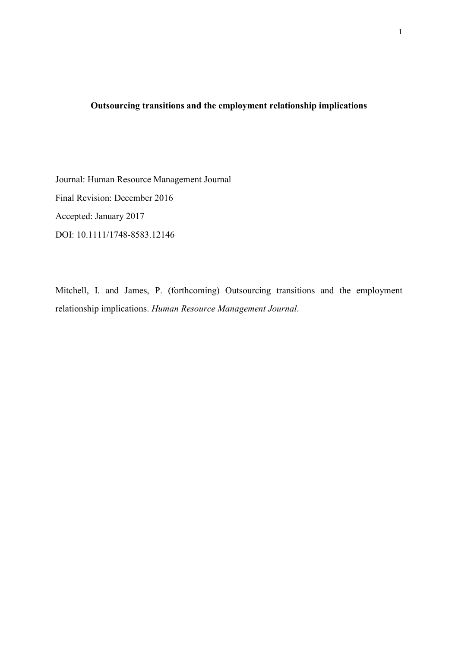## Outsourcing transitions and the employment relationship implications

Journal: Human Resource Management Journal Final Revision: December 2016 Accepted: January 2017 DOI: 10.1111/1748-8583.12146

Mitchell, I. and James, P. (forthcoming) Outsourcing transitions and the employment relationship implications. Human Resource Management Journal.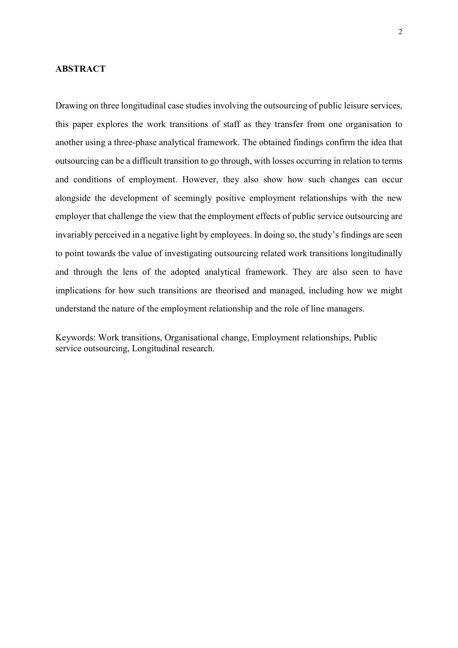## ABSTRACT

Drawing on three longitudinal case studies involving the outsourcing of public leisure services, this paper explores the work transitions of staff as they transfer from one organisation to another using a three-phase analytical framework. The obtained findings confirm the idea that outsourcing can be a difficult transition to go through, with losses occurring in relation to terms and conditions of employment. However, they also show how such changes can occur alongside the development of seemingly positive employment relationships with the new employer that challenge the view that the employment effects of public service outsourcing are invariably perceived in a negative light by employees. In doing so, the study's findings are seen to point towards the value of investigating outsourcing related work transitions longitudinally and through the lens of the adopted analytical framework. They are also seen to have implications for how such transitions are theorised and managed, including how we might understand the nature of the employment relationship and the role of line managers.

Keywords: Work transitions, Organisational change, Employment relationships, Public service outsourcing, Longitudinal research.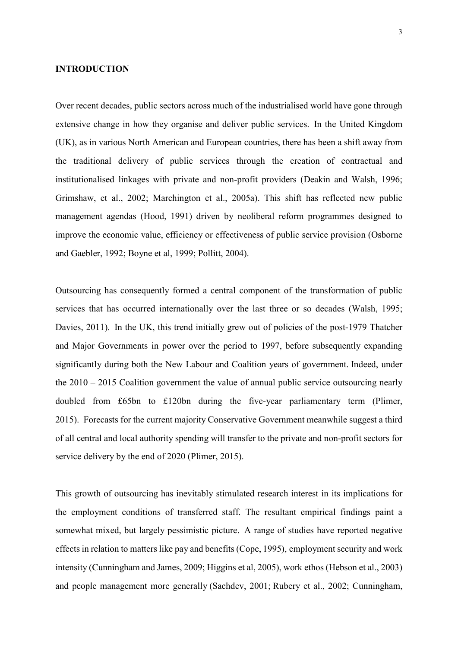#### INTRODUCTION

Over recent decades, public sectors across much of the industrialised world have gone through extensive change in how they organise and deliver public services. In the United Kingdom (UK), as in various North American and European countries, there has been a shift away from the traditional delivery of public services through the creation of contractual and institutionalised linkages with private and non-profit providers (Deakin and Walsh, 1996; Grimshaw, et al., 2002; Marchington et al., 2005a). This shift has reflected new public management agendas (Hood, 1991) driven by neoliberal reform programmes designed to improve the economic value, efficiency or effectiveness of public service provision (Osborne and Gaebler, 1992; Boyne et al, 1999; Pollitt, 2004).

Outsourcing has consequently formed a central component of the transformation of public services that has occurred internationally over the last three or so decades (Walsh, 1995; Davies, 2011). In the UK, this trend initially grew out of policies of the post-1979 Thatcher and Major Governments in power over the period to 1997, before subsequently expanding significantly during both the New Labour and Coalition years of government. Indeed, under the 2010 – 2015 Coalition government the value of annual public service outsourcing nearly doubled from £65bn to £120bn during the five-year parliamentary term (Plimer, 2015). Forecasts for the current majority Conservative Government meanwhile suggest a third of all central and local authority spending will transfer to the private and non-profit sectors for service delivery by the end of 2020 (Plimer, 2015).

This growth of outsourcing has inevitably stimulated research interest in its implications for the employment conditions of transferred staff. The resultant empirical findings paint a somewhat mixed, but largely pessimistic picture. A range of studies have reported negative effects in relation to matters like pay and benefits (Cope, 1995), employment security and work intensity (Cunningham and James, 2009; Higgins et al, 2005), work ethos (Hebson et al., 2003) and people management more generally (Sachdev, 2001; Rubery et al., 2002; Cunningham,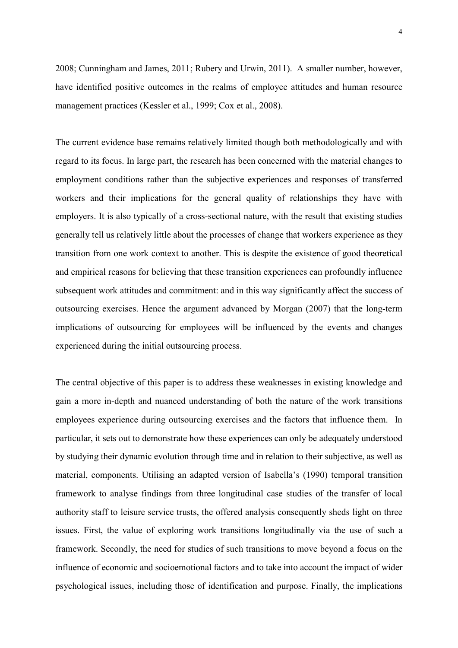2008; Cunningham and James, 2011; Rubery and Urwin, 2011). A smaller number, however, have identified positive outcomes in the realms of employee attitudes and human resource management practices (Kessler et al., 1999; Cox et al., 2008).

The current evidence base remains relatively limited though both methodologically and with regard to its focus. In large part, the research has been concerned with the material changes to employment conditions rather than the subjective experiences and responses of transferred workers and their implications for the general quality of relationships they have with employers. It is also typically of a cross-sectional nature, with the result that existing studies generally tell us relatively little about the processes of change that workers experience as they transition from one work context to another. This is despite the existence of good theoretical and empirical reasons for believing that these transition experiences can profoundly influence subsequent work attitudes and commitment: and in this way significantly affect the success of outsourcing exercises. Hence the argument advanced by Morgan (2007) that the long-term implications of outsourcing for employees will be influenced by the events and changes experienced during the initial outsourcing process.

The central objective of this paper is to address these weaknesses in existing knowledge and gain a more in-depth and nuanced understanding of both the nature of the work transitions employees experience during outsourcing exercises and the factors that influence them. In particular, it sets out to demonstrate how these experiences can only be adequately understood by studying their dynamic evolution through time and in relation to their subjective, as well as material, components. Utilising an adapted version of Isabella's (1990) temporal transition framework to analyse findings from three longitudinal case studies of the transfer of local authority staff to leisure service trusts, the offered analysis consequently sheds light on three issues. First, the value of exploring work transitions longitudinally via the use of such a framework. Secondly, the need for studies of such transitions to move beyond a focus on the influence of economic and socioemotional factors and to take into account the impact of wider psychological issues, including those of identification and purpose. Finally, the implications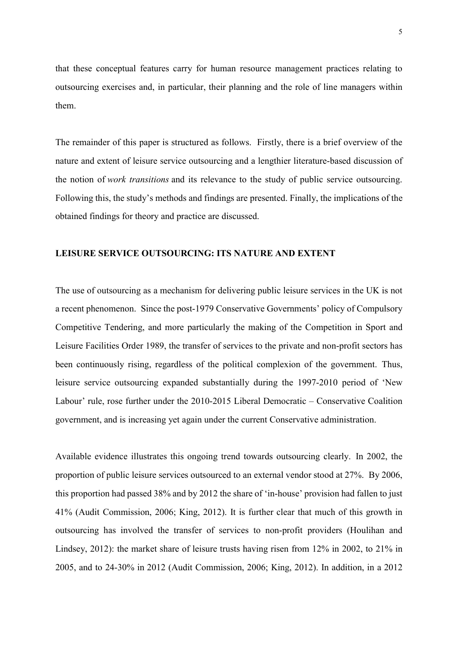that these conceptual features carry for human resource management practices relating to outsourcing exercises and, in particular, their planning and the role of line managers within them.

The remainder of this paper is structured as follows. Firstly, there is a brief overview of the nature and extent of leisure service outsourcing and a lengthier literature-based discussion of the notion of work transitions and its relevance to the study of public service outsourcing. Following this, the study's methods and findings are presented. Finally, the implications of the obtained findings for theory and practice are discussed.

#### LEISURE SERVICE OUTSOURCING: ITS NATURE AND EXTENT

The use of outsourcing as a mechanism for delivering public leisure services in the UK is not a recent phenomenon. Since the post-1979 Conservative Governments' policy of Compulsory Competitive Tendering, and more particularly the making of the Competition in Sport and Leisure Facilities Order 1989, the transfer of services to the private and non-profit sectors has been continuously rising, regardless of the political complexion of the government. Thus, leisure service outsourcing expanded substantially during the 1997-2010 period of 'New Labour' rule, rose further under the 2010-2015 Liberal Democratic – Conservative Coalition government, and is increasing yet again under the current Conservative administration.

Available evidence illustrates this ongoing trend towards outsourcing clearly. In 2002, the proportion of public leisure services outsourced to an external vendor stood at 27%. By 2006, this proportion had passed 38% and by 2012 the share of 'in-house' provision had fallen to just 41% (Audit Commission, 2006; King, 2012). It is further clear that much of this growth in outsourcing has involved the transfer of services to non-profit providers (Houlihan and Lindsey, 2012): the market share of leisure trusts having risen from 12% in 2002, to 21% in 2005, and to 24-30% in 2012 (Audit Commission, 2006; King, 2012). In addition, in a 2012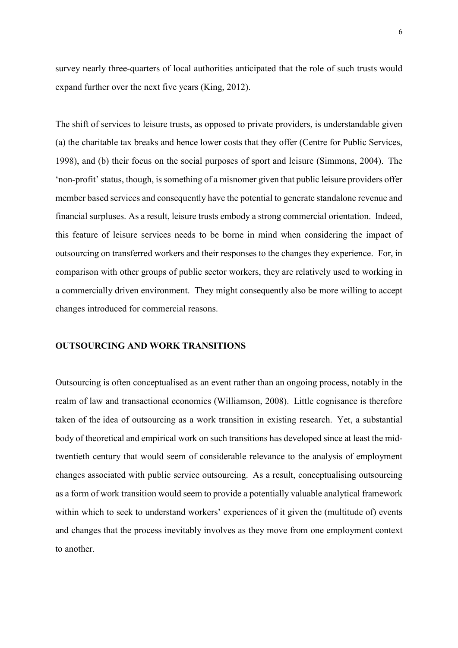survey nearly three-quarters of local authorities anticipated that the role of such trusts would expand further over the next five years (King, 2012).

The shift of services to leisure trusts, as opposed to private providers, is understandable given (a) the charitable tax breaks and hence lower costs that they offer (Centre for Public Services, 1998), and (b) their focus on the social purposes of sport and leisure (Simmons, 2004). The 'non-profit' status, though, is something of a misnomer given that public leisure providers offer member based services and consequently have the potential to generate standalone revenue and financial surpluses. As a result, leisure trusts embody a strong commercial orientation. Indeed, this feature of leisure services needs to be borne in mind when considering the impact of outsourcing on transferred workers and their responses to the changes they experience. For, in comparison with other groups of public sector workers, they are relatively used to working in a commercially driven environment. They might consequently also be more willing to accept changes introduced for commercial reasons.

#### OUTSOURCING AND WORK TRANSITIONS

Outsourcing is often conceptualised as an event rather than an ongoing process, notably in the realm of law and transactional economics (Williamson, 2008). Little cognisance is therefore taken of the idea of outsourcing as a work transition in existing research. Yet, a substantial body of theoretical and empirical work on such transitions has developed since at least the midtwentieth century that would seem of considerable relevance to the analysis of employment changes associated with public service outsourcing. As a result, conceptualising outsourcing as a form of work transition would seem to provide a potentially valuable analytical framework within which to seek to understand workers' experiences of it given the (multitude of) events and changes that the process inevitably involves as they move from one employment context to another.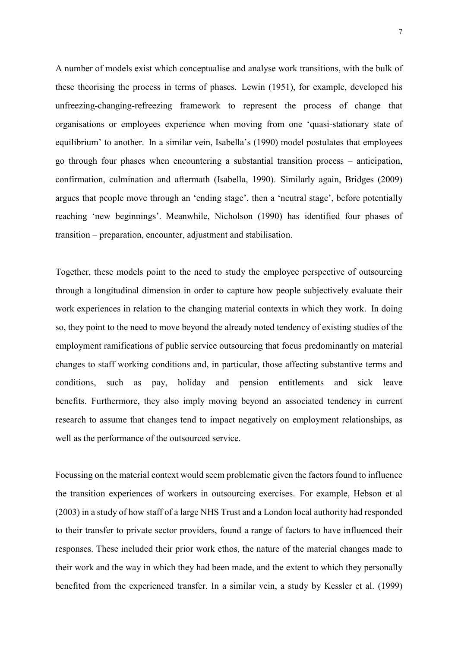A number of models exist which conceptualise and analyse work transitions, with the bulk of these theorising the process in terms of phases. Lewin (1951), for example, developed his unfreezing-changing-refreezing framework to represent the process of change that organisations or employees experience when moving from one 'quasi-stationary state of equilibrium' to another. In a similar vein, Isabella's (1990) model postulates that employees go through four phases when encountering a substantial transition process – anticipation, confirmation, culmination and aftermath (Isabella, 1990). Similarly again, Bridges (2009) argues that people move through an 'ending stage', then a 'neutral stage', before potentially reaching 'new beginnings'. Meanwhile, Nicholson (1990) has identified four phases of transition – preparation, encounter, adjustment and stabilisation.

Together, these models point to the need to study the employee perspective of outsourcing through a longitudinal dimension in order to capture how people subjectively evaluate their work experiences in relation to the changing material contexts in which they work. In doing so, they point to the need to move beyond the already noted tendency of existing studies of the employment ramifications of public service outsourcing that focus predominantly on material changes to staff working conditions and, in particular, those affecting substantive terms and conditions, such as pay, holiday and pension entitlements and sick leave benefits. Furthermore, they also imply moving beyond an associated tendency in current research to assume that changes tend to impact negatively on employment relationships, as well as the performance of the outsourced service.

Focussing on the material context would seem problematic given the factors found to influence the transition experiences of workers in outsourcing exercises. For example, Hebson et al (2003) in a study of how staff of a large NHS Trust and a London local authority had responded to their transfer to private sector providers, found a range of factors to have influenced their responses. These included their prior work ethos, the nature of the material changes made to their work and the way in which they had been made, and the extent to which they personally benefited from the experienced transfer. In a similar vein, a study by Kessler et al. (1999)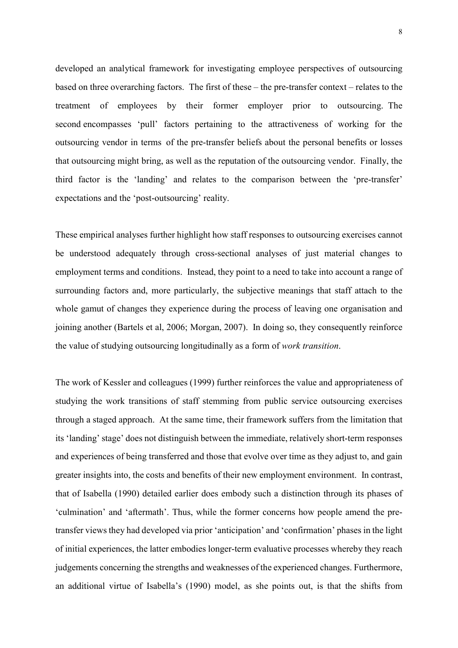developed an analytical framework for investigating employee perspectives of outsourcing based on three overarching factors. The first of these – the pre-transfer context – relates to the treatment of employees by their former employer prior to outsourcing. The second encompasses 'pull' factors pertaining to the attractiveness of working for the outsourcing vendor in terms of the pre-transfer beliefs about the personal benefits or losses that outsourcing might bring, as well as the reputation of the outsourcing vendor. Finally, the third factor is the 'landing' and relates to the comparison between the 'pre-transfer' expectations and the 'post-outsourcing' reality.

These empirical analyses further highlight how staff responses to outsourcing exercises cannot be understood adequately through cross-sectional analyses of just material changes to employment terms and conditions. Instead, they point to a need to take into account a range of surrounding factors and, more particularly, the subjective meanings that staff attach to the whole gamut of changes they experience during the process of leaving one organisation and joining another (Bartels et al, 2006; Morgan, 2007). In doing so, they consequently reinforce the value of studying outsourcing longitudinally as a form of work transition.

The work of Kessler and colleagues (1999) further reinforces the value and appropriateness of studying the work transitions of staff stemming from public service outsourcing exercises through a staged approach. At the same time, their framework suffers from the limitation that its 'landing' stage' does not distinguish between the immediate, relatively short-term responses and experiences of being transferred and those that evolve over time as they adjust to, and gain greater insights into, the costs and benefits of their new employment environment. In contrast, that of Isabella (1990) detailed earlier does embody such a distinction through its phases of 'culmination' and 'aftermath'. Thus, while the former concerns how people amend the pretransfer views they had developed via prior 'anticipation' and 'confirmation' phases in the light of initial experiences, the latter embodies longer-term evaluative processes whereby they reach judgements concerning the strengths and weaknesses of the experienced changes. Furthermore, an additional virtue of Isabella's (1990) model, as she points out, is that the shifts from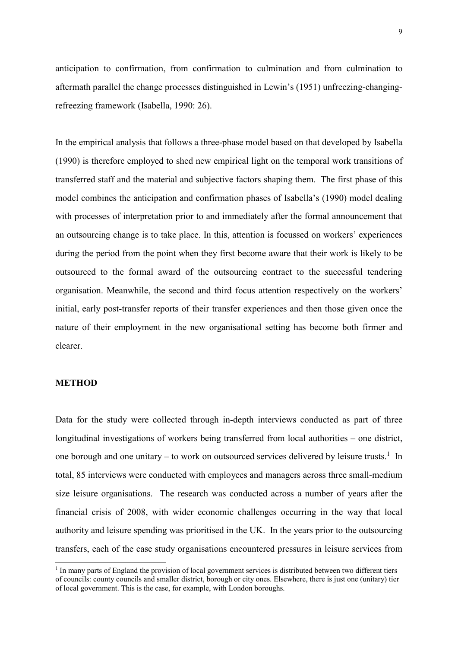anticipation to confirmation, from confirmation to culmination and from culmination to aftermath parallel the change processes distinguished in Lewin's (1951) unfreezing-changingrefreezing framework (Isabella, 1990: 26).

In the empirical analysis that follows a three-phase model based on that developed by Isabella (1990) is therefore employed to shed new empirical light on the temporal work transitions of transferred staff and the material and subjective factors shaping them. The first phase of this model combines the anticipation and confirmation phases of Isabella's (1990) model dealing with processes of interpretation prior to and immediately after the formal announcement that an outsourcing change is to take place. In this, attention is focussed on workers' experiences during the period from the point when they first become aware that their work is likely to be outsourced to the formal award of the outsourcing contract to the successful tendering organisation. Meanwhile, the second and third focus attention respectively on the workers' initial, early post-transfer reports of their transfer experiences and then those given once the nature of their employment in the new organisational setting has become both firmer and clearer.

## METHOD

-

Data for the study were collected through in-depth interviews conducted as part of three longitudinal investigations of workers being transferred from local authorities – one district, one borough and one unitary  $-$  to work on outsourced services delivered by leisure trusts.<sup>1</sup> In total, 85 interviews were conducted with employees and managers across three small-medium size leisure organisations. The research was conducted across a number of years after the financial crisis of 2008, with wider economic challenges occurring in the way that local authority and leisure spending was prioritised in the UK. In the years prior to the outsourcing transfers, each of the case study organisations encountered pressures in leisure services from

<sup>&</sup>lt;sup>1</sup> In many parts of England the provision of local government services is distributed between two different tiers of councils: county councils and smaller district, borough or city ones. Elsewhere, there is just one (unitary) tier of local government. This is the case, for example, with London boroughs.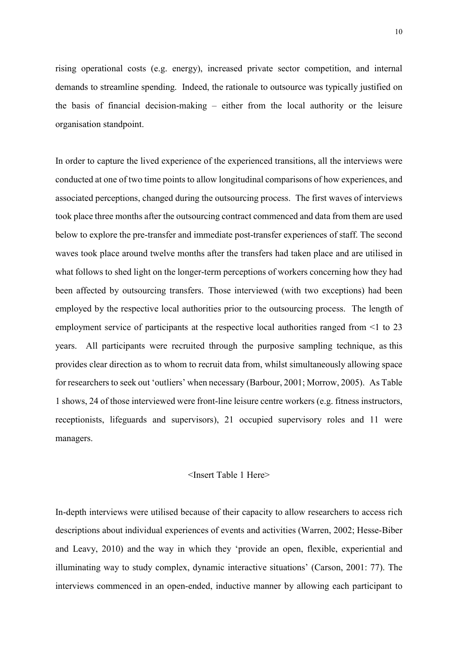rising operational costs (e.g. energy), increased private sector competition, and internal demands to streamline spending. Indeed, the rationale to outsource was typically justified on the basis of financial decision-making – either from the local authority or the leisure organisation standpoint.

In order to capture the lived experience of the experienced transitions, all the interviews were conducted at one of two time points to allow longitudinal comparisons of how experiences, and associated perceptions, changed during the outsourcing process. The first waves of interviews took place three months after the outsourcing contract commenced and data from them are used below to explore the pre-transfer and immediate post-transfer experiences of staff. The second waves took place around twelve months after the transfers had taken place and are utilised in what follows to shed light on the longer-term perceptions of workers concerning how they had been affected by outsourcing transfers. Those interviewed (with two exceptions) had been employed by the respective local authorities prior to the outsourcing process. The length of employment service of participants at the respective local authorities ranged from <1 to 23 years. All participants were recruited through the purposive sampling technique, as this provides clear direction as to whom to recruit data from, whilst simultaneously allowing space for researchers to seek out 'outliers' when necessary (Barbour, 2001; Morrow, 2005). As Table 1 shows, 24 of those interviewed were front-line leisure centre workers (e.g. fitness instructors, receptionists, lifeguards and supervisors), 21 occupied supervisory roles and 11 were managers.

#### <Insert Table 1 Here>

In-depth interviews were utilised because of their capacity to allow researchers to access rich descriptions about individual experiences of events and activities (Warren, 2002; Hesse-Biber and Leavy, 2010) and the way in which they 'provide an open, flexible, experiential and illuminating way to study complex, dynamic interactive situations' (Carson, 2001: 77). The interviews commenced in an open-ended, inductive manner by allowing each participant to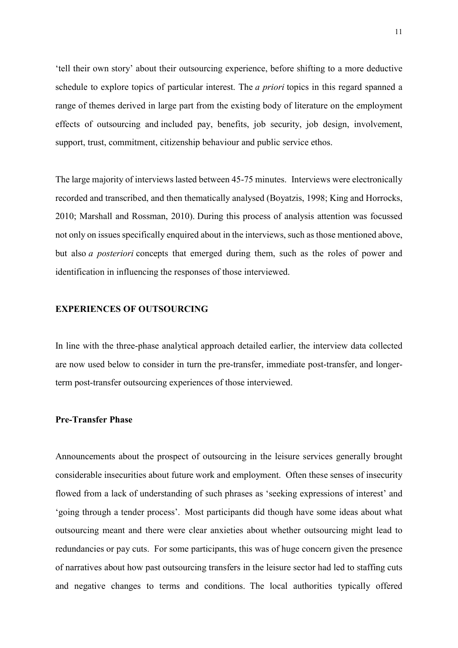'tell their own story' about their outsourcing experience, before shifting to a more deductive schedule to explore topics of particular interest. The *a priori* topics in this regard spanned a range of themes derived in large part from the existing body of literature on the employment effects of outsourcing and included pay, benefits, job security, job design, involvement, support, trust, commitment, citizenship behaviour and public service ethos.

The large majority of interviews lasted between 45-75 minutes. Interviews were electronically recorded and transcribed, and then thematically analysed (Boyatzis, 1998; King and Horrocks, 2010; Marshall and Rossman, 2010). During this process of analysis attention was focussed not only on issues specifically enquired about in the interviews, such as those mentioned above, but also a posteriori concepts that emerged during them, such as the roles of power and identification in influencing the responses of those interviewed.

#### EXPERIENCES OF OUTSOURCING

In line with the three-phase analytical approach detailed earlier, the interview data collected are now used below to consider in turn the pre-transfer, immediate post-transfer, and longerterm post-transfer outsourcing experiences of those interviewed.

## Pre-Transfer Phase

Announcements about the prospect of outsourcing in the leisure services generally brought considerable insecurities about future work and employment. Often these senses of insecurity flowed from a lack of understanding of such phrases as 'seeking expressions of interest' and 'going through a tender process'. Most participants did though have some ideas about what outsourcing meant and there were clear anxieties about whether outsourcing might lead to redundancies or pay cuts. For some participants, this was of huge concern given the presence of narratives about how past outsourcing transfers in the leisure sector had led to staffing cuts and negative changes to terms and conditions. The local authorities typically offered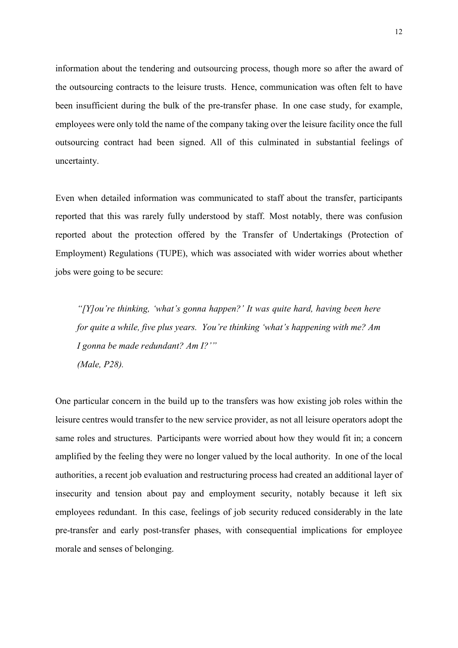information about the tendering and outsourcing process, though more so after the award of the outsourcing contracts to the leisure trusts. Hence, communication was often felt to have been insufficient during the bulk of the pre-transfer phase. In one case study, for example, employees were only told the name of the company taking over the leisure facility once the full outsourcing contract had been signed. All of this culminated in substantial feelings of uncertainty.

Even when detailed information was communicated to staff about the transfer, participants reported that this was rarely fully understood by staff. Most notably, there was confusion reported about the protection offered by the Transfer of Undertakings (Protection of Employment) Regulations (TUPE), which was associated with wider worries about whether jobs were going to be secure:

"[Y]ou're thinking, 'what's gonna happen?' It was quite hard, having been here for quite a while, five plus years. You're thinking 'what's happening with me? Am I gonna be made redundant? Am I?'" (Male, P28).

One particular concern in the build up to the transfers was how existing job roles within the leisure centres would transfer to the new service provider, as not all leisure operators adopt the same roles and structures. Participants were worried about how they would fit in; a concern amplified by the feeling they were no longer valued by the local authority. In one of the local authorities, a recent job evaluation and restructuring process had created an additional layer of insecurity and tension about pay and employment security, notably because it left six employees redundant. In this case, feelings of job security reduced considerably in the late pre-transfer and early post-transfer phases, with consequential implications for employee morale and senses of belonging.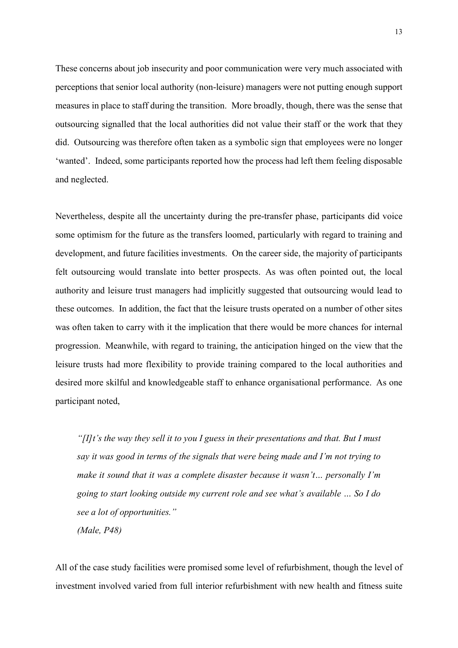These concerns about job insecurity and poor communication were very much associated with perceptions that senior local authority (non-leisure) managers were not putting enough support measures in place to staff during the transition. More broadly, though, there was the sense that outsourcing signalled that the local authorities did not value their staff or the work that they did. Outsourcing was therefore often taken as a symbolic sign that employees were no longer 'wanted'. Indeed, some participants reported how the process had left them feeling disposable and neglected.

Nevertheless, despite all the uncertainty during the pre-transfer phase, participants did voice some optimism for the future as the transfers loomed, particularly with regard to training and development, and future facilities investments. On the career side, the majority of participants felt outsourcing would translate into better prospects. As was often pointed out, the local authority and leisure trust managers had implicitly suggested that outsourcing would lead to these outcomes. In addition, the fact that the leisure trusts operated on a number of other sites was often taken to carry with it the implication that there would be more chances for internal progression. Meanwhile, with regard to training, the anticipation hinged on the view that the leisure trusts had more flexibility to provide training compared to the local authorities and desired more skilful and knowledgeable staff to enhance organisational performance. As one participant noted,

" $[1]$ t's the way they sell it to you I guess in their presentations and that. But I must say it was good in terms of the signals that were being made and I'm not trying to make it sound that it was a complete disaster because it wasn't… personally I'm going to start looking outside my current role and see what's available … So I do see a lot of opportunities."

(Male, P48)

All of the case study facilities were promised some level of refurbishment, though the level of investment involved varied from full interior refurbishment with new health and fitness suite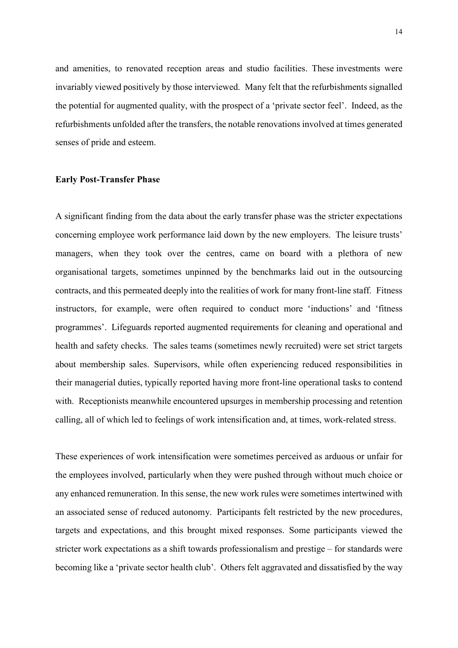and amenities, to renovated reception areas and studio facilities. These investments were invariably viewed positively by those interviewed. Many felt that the refurbishments signalled the potential for augmented quality, with the prospect of a 'private sector feel'. Indeed, as the refurbishments unfolded after the transfers, the notable renovations involved at times generated senses of pride and esteem.

#### Early Post-Transfer Phase

A significant finding from the data about the early transfer phase was the stricter expectations concerning employee work performance laid down by the new employers. The leisure trusts' managers, when they took over the centres, came on board with a plethora of new organisational targets, sometimes unpinned by the benchmarks laid out in the outsourcing contracts, and this permeated deeply into the realities of work for many front-line staff. Fitness instructors, for example, were often required to conduct more 'inductions' and 'fitness programmes'. Lifeguards reported augmented requirements for cleaning and operational and health and safety checks. The sales teams (sometimes newly recruited) were set strict targets about membership sales. Supervisors, while often experiencing reduced responsibilities in their managerial duties, typically reported having more front-line operational tasks to contend with. Receptionists meanwhile encountered upsurges in membership processing and retention calling, all of which led to feelings of work intensification and, at times, work-related stress.

These experiences of work intensification were sometimes perceived as arduous or unfair for the employees involved, particularly when they were pushed through without much choice or any enhanced remuneration. In this sense, the new work rules were sometimes intertwined with an associated sense of reduced autonomy. Participants felt restricted by the new procedures, targets and expectations, and this brought mixed responses. Some participants viewed the stricter work expectations as a shift towards professionalism and prestige – for standards were becoming like a 'private sector health club'. Others felt aggravated and dissatisfied by the way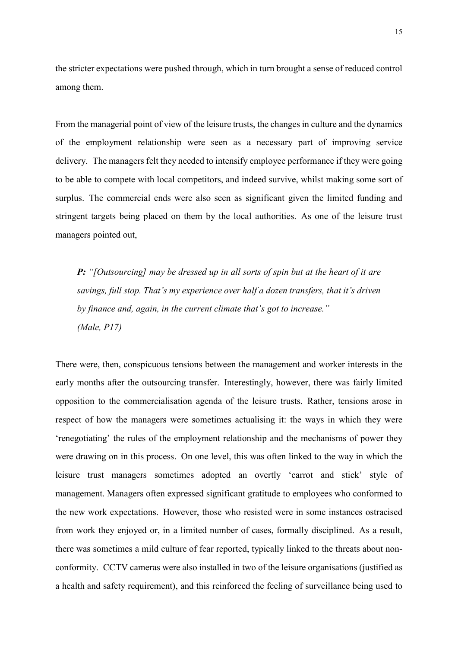the stricter expectations were pushed through, which in turn brought a sense of reduced control among them.

From the managerial point of view of the leisure trusts, the changes in culture and the dynamics of the employment relationship were seen as a necessary part of improving service delivery. The managers felt they needed to intensify employee performance if they were going to be able to compete with local competitors, and indeed survive, whilst making some sort of surplus. The commercial ends were also seen as significant given the limited funding and stringent targets being placed on them by the local authorities. As one of the leisure trust managers pointed out,

P: "[Outsourcing] may be dressed up in all sorts of spin but at the heart of it are savings, full stop. That's my experience over half a dozen transfers, that it's driven by finance and, again, in the current climate that's got to increase." (Male, P17)

There were, then, conspicuous tensions between the management and worker interests in the early months after the outsourcing transfer. Interestingly, however, there was fairly limited opposition to the commercialisation agenda of the leisure trusts. Rather, tensions arose in respect of how the managers were sometimes actualising it: the ways in which they were 'renegotiating' the rules of the employment relationship and the mechanisms of power they were drawing on in this process. On one level, this was often linked to the way in which the leisure trust managers sometimes adopted an overtly 'carrot and stick' style of management. Managers often expressed significant gratitude to employees who conformed to the new work expectations. However, those who resisted were in some instances ostracised from work they enjoyed or, in a limited number of cases, formally disciplined. As a result, there was sometimes a mild culture of fear reported, typically linked to the threats about nonconformity. CCTV cameras were also installed in two of the leisure organisations (justified as a health and safety requirement), and this reinforced the feeling of surveillance being used to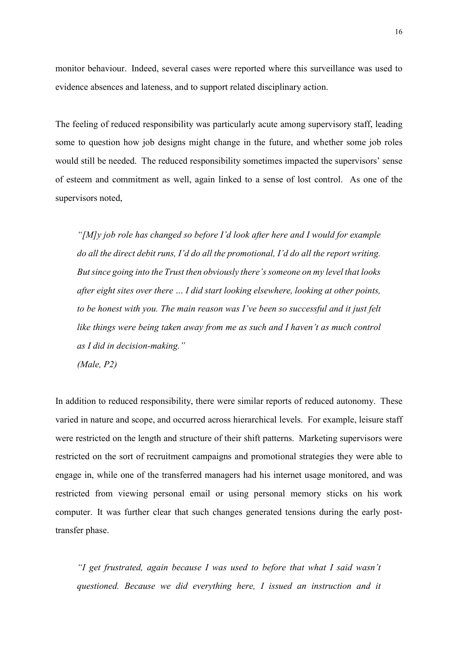monitor behaviour. Indeed, several cases were reported where this surveillance was used to evidence absences and lateness, and to support related disciplinary action.

The feeling of reduced responsibility was particularly acute among supervisory staff, leading some to question how job designs might change in the future, and whether some job roles would still be needed. The reduced responsibility sometimes impacted the supervisors' sense of esteem and commitment as well, again linked to a sense of lost control. As one of the supervisors noted,

"[M]y job role has changed so before I'd look after here and I would for example do all the direct debit runs, I'd do all the promotional, I'd do all the report writing. But since going into the Trust then obviously there's someone on my level that looks after eight sites over there … I did start looking elsewhere, looking at other points, to be honest with you. The main reason was I've been so successful and it just felt like things were being taken away from me as such and I haven't as much control as I did in decision-making."

(Male, P2)

In addition to reduced responsibility, there were similar reports of reduced autonomy. These varied in nature and scope, and occurred across hierarchical levels. For example, leisure staff were restricted on the length and structure of their shift patterns. Marketing supervisors were restricted on the sort of recruitment campaigns and promotional strategies they were able to engage in, while one of the transferred managers had his internet usage monitored, and was restricted from viewing personal email or using personal memory sticks on his work computer. It was further clear that such changes generated tensions during the early posttransfer phase.

"I get frustrated, again because I was used to before that what I said wasn't questioned. Because we did everything here, I issued an instruction and it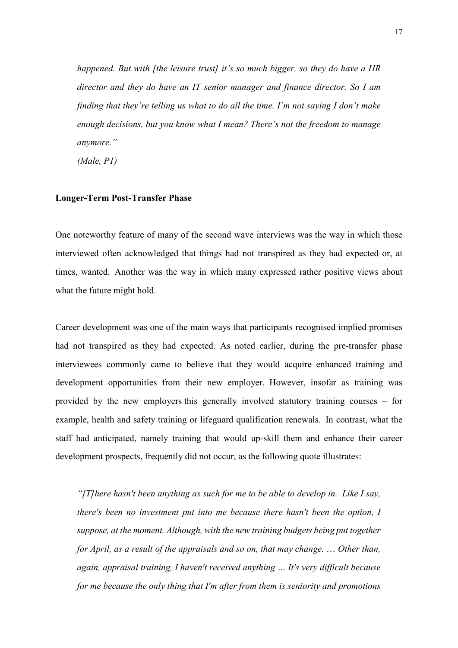happened. But with [the leisure trust] it's so much bigger, so they do have a HR director and they do have an IT senior manager and finance director. So I am finding that they're telling us what to do all the time. I'm not saying I don't make enough decisions, but you know what I mean? There's not the freedom to manage anymore."

(Male, P1)

## Longer-Term Post-Transfer Phase

One noteworthy feature of many of the second wave interviews was the way in which those interviewed often acknowledged that things had not transpired as they had expected or, at times, wanted. Another was the way in which many expressed rather positive views about what the future might hold.

Career development was one of the main ways that participants recognised implied promises had not transpired as they had expected. As noted earlier, during the pre-transfer phase interviewees commonly came to believe that they would acquire enhanced training and development opportunities from their new employer. However, insofar as training was provided by the new employers this generally involved statutory training courses – for example, health and safety training or lifeguard qualification renewals. In contrast, what the staff had anticipated, namely training that would up-skill them and enhance their career development prospects, frequently did not occur, as the following quote illustrates:

"[T] here hasn't been anything as such for me to be able to develop in. Like I say, there's been no investment put into me because there hasn't been the option, I suppose, at the moment. Although, with the new training budgets being put together for April, as a result of the appraisals and so on, that may change. … Other than, again, appraisal training, I haven't received anything … It's very difficult because for me because the only thing that I'm after from them is seniority and promotions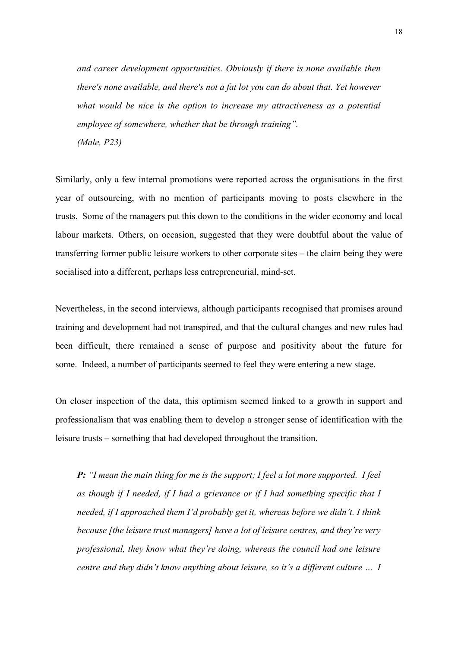and career development opportunities. Obviously if there is none available then there's none available, and there's not a fat lot you can do about that. Yet however what would be nice is the option to increase my attractiveness as a potential employee of somewhere, whether that be through training". (Male, P23)

Similarly, only a few internal promotions were reported across the organisations in the first year of outsourcing, with no mention of participants moving to posts elsewhere in the trusts. Some of the managers put this down to the conditions in the wider economy and local labour markets. Others, on occasion, suggested that they were doubtful about the value of transferring former public leisure workers to other corporate sites – the claim being they were socialised into a different, perhaps less entrepreneurial, mind-set.

Nevertheless, in the second interviews, although participants recognised that promises around training and development had not transpired, and that the cultural changes and new rules had been difficult, there remained a sense of purpose and positivity about the future for some. Indeed, a number of participants seemed to feel they were entering a new stage.

On closer inspection of the data, this optimism seemed linked to a growth in support and professionalism that was enabling them to develop a stronger sense of identification with the leisure trusts – something that had developed throughout the transition.

**P:** "I mean the main thing for me is the support; I feel a lot more supported. I feel as though if I needed, if I had a grievance or if I had something specific that I needed, if I approached them I'd probably get it, whereas before we didn't. I think because [the leisure trust managers] have a lot of leisure centres, and they're very professional, they know what they're doing, whereas the council had one leisure centre and they didn't know anything about leisure, so it's a different culture … I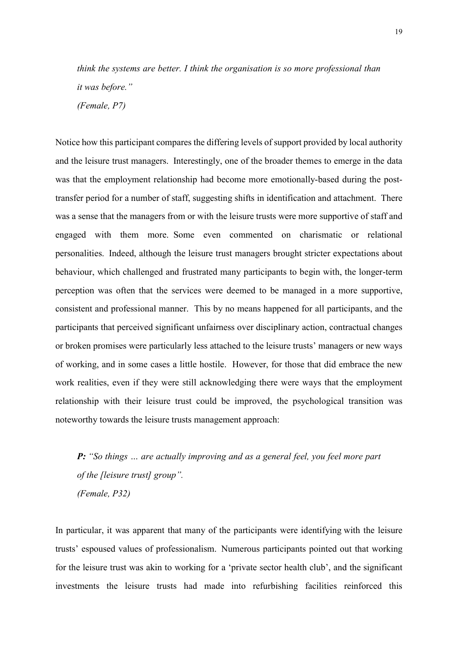think the systems are better. I think the organisation is so more professional than it was before." (Female, P7)

Notice how this participant compares the differing levels of support provided by local authority and the leisure trust managers. Interestingly, one of the broader themes to emerge in the data was that the employment relationship had become more emotionally-based during the posttransfer period for a number of staff, suggesting shifts in identification and attachment. There was a sense that the managers from or with the leisure trusts were more supportive of staff and engaged with them more. Some even commented on charismatic or relational personalities. Indeed, although the leisure trust managers brought stricter expectations about behaviour, which challenged and frustrated many participants to begin with, the longer-term perception was often that the services were deemed to be managed in a more supportive, consistent and professional manner. This by no means happened for all participants, and the participants that perceived significant unfairness over disciplinary action, contractual changes or broken promises were particularly less attached to the leisure trusts' managers or new ways of working, and in some cases a little hostile. However, for those that did embrace the new work realities, even if they were still acknowledging there were ways that the employment relationship with their leisure trust could be improved, the psychological transition was noteworthy towards the leisure trusts management approach:

**P:** "So things ... are actually improving and as a general feel, you feel more part of the [leisure trust] group". (Female, P32)

In particular, it was apparent that many of the participants were identifying with the leisure trusts' espoused values of professionalism. Numerous participants pointed out that working for the leisure trust was akin to working for a 'private sector health club', and the significant investments the leisure trusts had made into refurbishing facilities reinforced this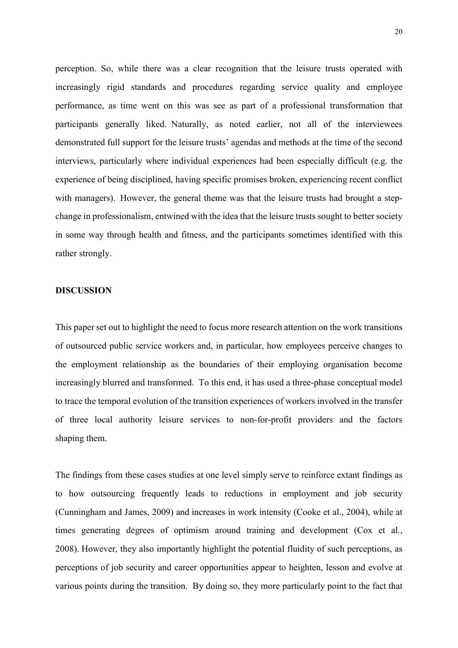perception. So, while there was a clear recognition that the leisure trusts operated with increasingly rigid standards and procedures regarding service quality and employee performance, as time went on this was see as part of a professional transformation that participants generally liked. Naturally, as noted earlier, not all of the interviewees demonstrated full support for the leisure trusts' agendas and methods at the time of the second interviews, particularly where individual experiences had been especially difficult (e.g. the experience of being disciplined, having specific promises broken, experiencing recent conflict with managers). However, the general theme was that the leisure trusts had brought a stepchange in professionalism, entwined with the idea that the leisure trusts sought to better society in some way through health and fitness, and the participants sometimes identified with this rather strongly.

#### DISCUSSION

This paper set out to highlight the need to focus more research attention on the work transitions of outsourced public service workers and, in particular, how employees perceive changes to the employment relationship as the boundaries of their employing organisation become increasingly blurred and transformed. To this end, it has used a three-phase conceptual model to trace the temporal evolution of the transition experiences of workers involved in the transfer of three local authority leisure services to non-for-profit providers and the factors shaping them.

The findings from these cases studies at one level simply serve to reinforce extant findings as to how outsourcing frequently leads to reductions in employment and job security (Cunningham and James, 2009) and increases in work intensity (Cooke et al., 2004), while at times generating degrees of optimism around training and development (Cox et al., 2008). However, they also importantly highlight the potential fluidity of such perceptions, as perceptions of job security and career opportunities appear to heighten, lesson and evolve at various points during the transition. By doing so, they more particularly point to the fact that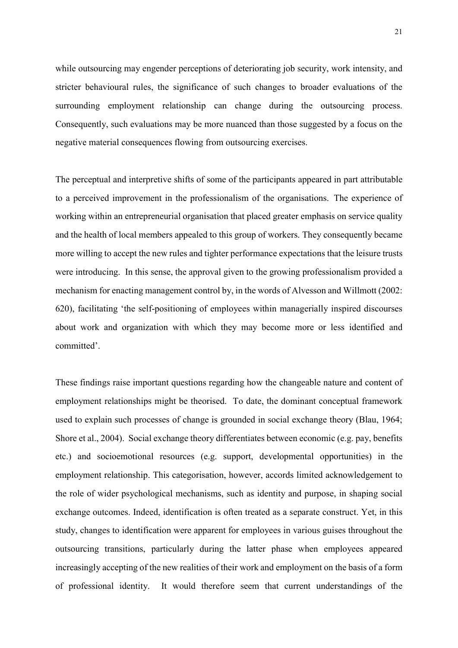while outsourcing may engender perceptions of deteriorating job security, work intensity, and stricter behavioural rules, the significance of such changes to broader evaluations of the surrounding employment relationship can change during the outsourcing process. Consequently, such evaluations may be more nuanced than those suggested by a focus on the negative material consequences flowing from outsourcing exercises.

The perceptual and interpretive shifts of some of the participants appeared in part attributable to a perceived improvement in the professionalism of the organisations. The experience of working within an entrepreneurial organisation that placed greater emphasis on service quality and the health of local members appealed to this group of workers. They consequently became more willing to accept the new rules and tighter performance expectations that the leisure trusts were introducing. In this sense, the approval given to the growing professionalism provided a mechanism for enacting management control by, in the words of Alvesson and Willmott (2002: 620), facilitating 'the self-positioning of employees within managerially inspired discourses about work and organization with which they may become more or less identified and committed'.

These findings raise important questions regarding how the changeable nature and content of employment relationships might be theorised. To date, the dominant conceptual framework used to explain such processes of change is grounded in social exchange theory (Blau, 1964; Shore et al., 2004). Social exchange theory differentiates between economic (e.g. pay, benefits etc.) and socioemotional resources (e.g. support, developmental opportunities) in the employment relationship. This categorisation, however, accords limited acknowledgement to the role of wider psychological mechanisms, such as identity and purpose, in shaping social exchange outcomes. Indeed, identification is often treated as a separate construct. Yet, in this study, changes to identification were apparent for employees in various guises throughout the outsourcing transitions, particularly during the latter phase when employees appeared increasingly accepting of the new realities of their work and employment on the basis of a form of professional identity. It would therefore seem that current understandings of the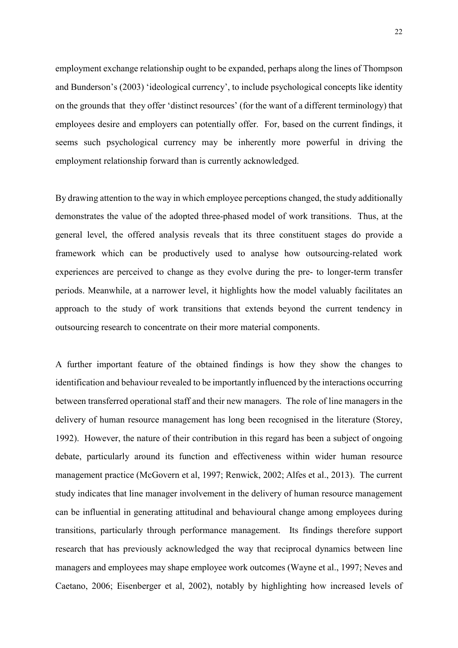employment exchange relationship ought to be expanded, perhaps along the lines of Thompson and Bunderson's (2003) 'ideological currency', to include psychological concepts like identity on the grounds that they offer 'distinct resources' (for the want of a different terminology) that employees desire and employers can potentially offer. For, based on the current findings, it seems such psychological currency may be inherently more powerful in driving the employment relationship forward than is currently acknowledged.

By drawing attention to the way in which employee perceptions changed, the study additionally demonstrates the value of the adopted three-phased model of work transitions. Thus, at the general level, the offered analysis reveals that its three constituent stages do provide a framework which can be productively used to analyse how outsourcing-related work experiences are perceived to change as they evolve during the pre- to longer-term transfer periods. Meanwhile, at a narrower level, it highlights how the model valuably facilitates an approach to the study of work transitions that extends beyond the current tendency in outsourcing research to concentrate on their more material components.

A further important feature of the obtained findings is how they show the changes to identification and behaviour revealed to be importantly influenced by the interactions occurring between transferred operational staff and their new managers. The role of line managers in the delivery of human resource management has long been recognised in the literature (Storey, 1992). However, the nature of their contribution in this regard has been a subject of ongoing debate, particularly around its function and effectiveness within wider human resource management practice (McGovern et al, 1997; Renwick, 2002; Alfes et al., 2013). The current study indicates that line manager involvement in the delivery of human resource management can be influential in generating attitudinal and behavioural change among employees during transitions, particularly through performance management. Its findings therefore support research that has previously acknowledged the way that reciprocal dynamics between line managers and employees may shape employee work outcomes (Wayne et al., 1997; Neves and Caetano, 2006; Eisenberger et al, 2002), notably by highlighting how increased levels of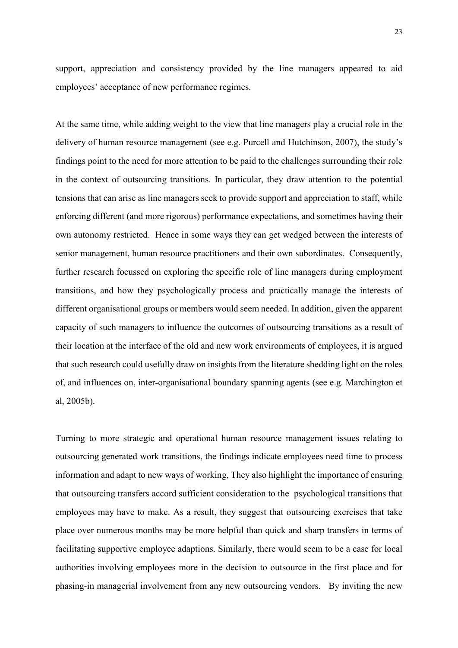support, appreciation and consistency provided by the line managers appeared to aid employees' acceptance of new performance regimes.

At the same time, while adding weight to the view that line managers play a crucial role in the delivery of human resource management (see e.g. Purcell and Hutchinson, 2007), the study's findings point to the need for more attention to be paid to the challenges surrounding their role in the context of outsourcing transitions. In particular, they draw attention to the potential tensions that can arise as line managers seek to provide support and appreciation to staff, while enforcing different (and more rigorous) performance expectations, and sometimes having their own autonomy restricted. Hence in some ways they can get wedged between the interests of senior management, human resource practitioners and their own subordinates. Consequently, further research focussed on exploring the specific role of line managers during employment transitions, and how they psychologically process and practically manage the interests of different organisational groups or members would seem needed. In addition, given the apparent capacity of such managers to influence the outcomes of outsourcing transitions as a result of their location at the interface of the old and new work environments of employees, it is argued that such research could usefully draw on insights from the literature shedding light on the roles of, and influences on, inter-organisational boundary spanning agents (see e.g. Marchington et al, 2005b).

Turning to more strategic and operational human resource management issues relating to outsourcing generated work transitions, the findings indicate employees need time to process information and adapt to new ways of working, They also highlight the importance of ensuring that outsourcing transfers accord sufficient consideration to the psychological transitions that employees may have to make. As a result, they suggest that outsourcing exercises that take place over numerous months may be more helpful than quick and sharp transfers in terms of facilitating supportive employee adaptions. Similarly, there would seem to be a case for local authorities involving employees more in the decision to outsource in the first place and for phasing-in managerial involvement from any new outsourcing vendors. By inviting the new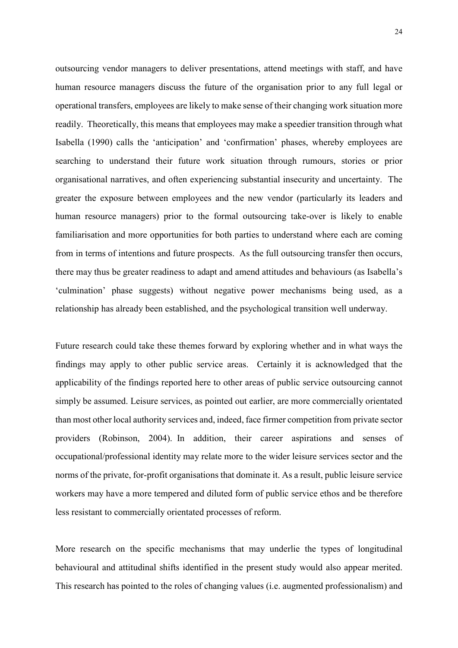outsourcing vendor managers to deliver presentations, attend meetings with staff, and have human resource managers discuss the future of the organisation prior to any full legal or operational transfers, employees are likely to make sense of their changing work situation more readily. Theoretically, this means that employees may make a speedier transition through what Isabella (1990) calls the 'anticipation' and 'confirmation' phases, whereby employees are searching to understand their future work situation through rumours, stories or prior organisational narratives, and often experiencing substantial insecurity and uncertainty. The greater the exposure between employees and the new vendor (particularly its leaders and human resource managers) prior to the formal outsourcing take-over is likely to enable familiarisation and more opportunities for both parties to understand where each are coming from in terms of intentions and future prospects. As the full outsourcing transfer then occurs, there may thus be greater readiness to adapt and amend attitudes and behaviours (as Isabella's 'culmination' phase suggests) without negative power mechanisms being used, as a relationship has already been established, and the psychological transition well underway.

Future research could take these themes forward by exploring whether and in what ways the findings may apply to other public service areas. Certainly it is acknowledged that the applicability of the findings reported here to other areas of public service outsourcing cannot simply be assumed. Leisure services, as pointed out earlier, are more commercially orientated than most other local authority services and, indeed, face firmer competition from private sector providers (Robinson, 2004). In addition, their career aspirations and senses of occupational/professional identity may relate more to the wider leisure services sector and the norms of the private, for-profit organisations that dominate it. As a result, public leisure service workers may have a more tempered and diluted form of public service ethos and be therefore less resistant to commercially orientated processes of reform.

More research on the specific mechanisms that may underlie the types of longitudinal behavioural and attitudinal shifts identified in the present study would also appear merited. This research has pointed to the roles of changing values (i.e. augmented professionalism) and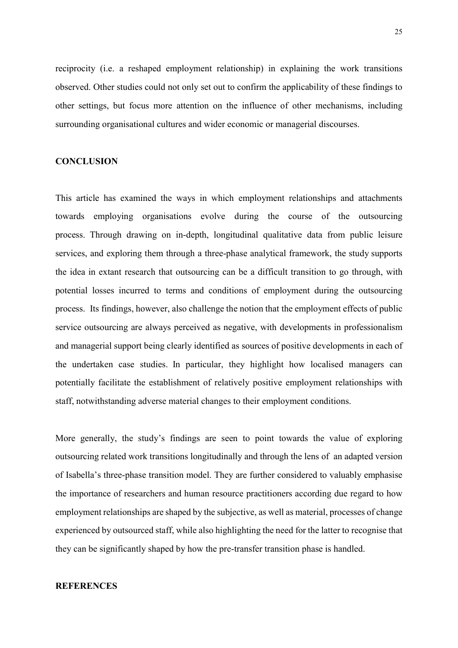reciprocity (i.e. a reshaped employment relationship) in explaining the work transitions observed. Other studies could not only set out to confirm the applicability of these findings to other settings, but focus more attention on the influence of other mechanisms, including surrounding organisational cultures and wider economic or managerial discourses.

#### **CONCLUSION**

This article has examined the ways in which employment relationships and attachments towards employing organisations evolve during the course of the outsourcing process. Through drawing on in-depth, longitudinal qualitative data from public leisure services, and exploring them through a three-phase analytical framework, the study supports the idea in extant research that outsourcing can be a difficult transition to go through, with potential losses incurred to terms and conditions of employment during the outsourcing process. Its findings, however, also challenge the notion that the employment effects of public service outsourcing are always perceived as negative, with developments in professionalism and managerial support being clearly identified as sources of positive developments in each of the undertaken case studies. In particular, they highlight how localised managers can potentially facilitate the establishment of relatively positive employment relationships with staff, notwithstanding adverse material changes to their employment conditions.

More generally, the study's findings are seen to point towards the value of exploring outsourcing related work transitions longitudinally and through the lens of an adapted version of Isabella's three-phase transition model. They are further considered to valuably emphasise the importance of researchers and human resource practitioners according due regard to how employment relationships are shaped by the subjective, as well as material, processes of change experienced by outsourced staff, while also highlighting the need for the latter to recognise that they can be significantly shaped by how the pre-transfer transition phase is handled.

## **REFERENCES**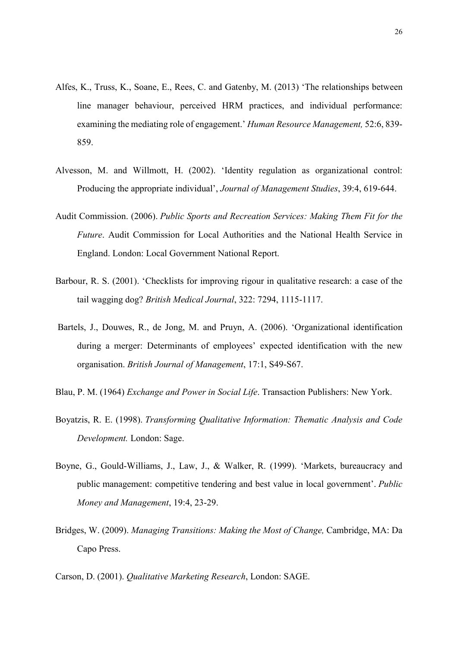- Alfes, K., Truss, K., Soane, E., Rees, C. and Gatenby, M. (2013) 'The relationships between line manager behaviour, perceived HRM practices, and individual performance: examining the mediating role of engagement.' Human Resource Management, 52:6, 839- 859.
- Alvesson, M. and Willmott, H. (2002). 'Identity regulation as organizational control: Producing the appropriate individual', Journal of Management Studies, 39:4, 619-644.
- Audit Commission. (2006). Public Sports and Recreation Services: Making Them Fit for the Future. Audit Commission for Local Authorities and the National Health Service in England. London: Local Government National Report.
- Barbour, R. S. (2001). 'Checklists for improving rigour in qualitative research: a case of the tail wagging dog? British Medical Journal, 322: 7294, 1115-1117.
- Bartels, J., Douwes, R., de Jong, M. and Pruyn, A. (2006). 'Organizational identification during a merger: Determinants of employees' expected identification with the new organisation. British Journal of Management, 17:1, S49-S67.
- Blau, P. M. (1964) Exchange and Power in Social Life. Transaction Publishers: New York.
- Boyatzis, R. E. (1998). Transforming Qualitative Information: Thematic Analysis and Code Development. London: Sage.
- Boyne, G., Gould-Williams, J., Law, J., & Walker, R. (1999). 'Markets, bureaucracy and public management: competitive tendering and best value in local government'. Public Money and Management, 19:4, 23-29.
- Bridges, W. (2009). Managing Transitions: Making the Most of Change, Cambridge, MA: Da Capo Press.
- Carson, D. (2001). Qualitative Marketing Research, London: SAGE.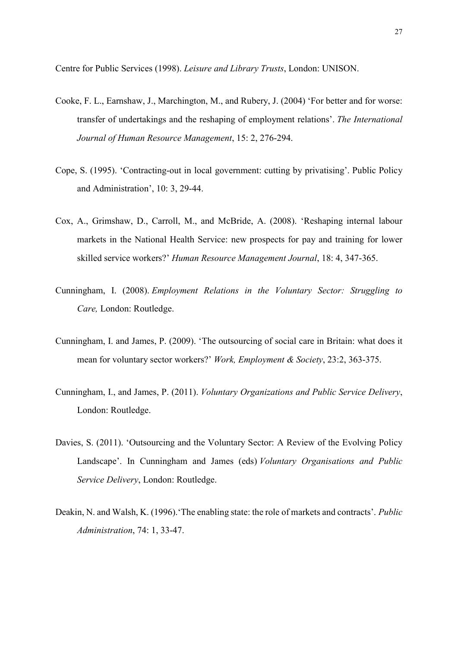Centre for Public Services (1998). Leisure and Library Trusts, London: UNISON.

- Cooke, F. L., Earnshaw, J., Marchington, M., and Rubery, J. (2004) 'For better and for worse: transfer of undertakings and the reshaping of employment relations'. The International Journal of Human Resource Management, 15: 2, 276-294.
- Cope, S. (1995). 'Contracting-out in local government: cutting by privatising'. Public Policy and Administration', 10: 3, 29-44.
- Cox, A., Grimshaw, D., Carroll, M., and McBride, A. (2008). 'Reshaping internal labour markets in the National Health Service: new prospects for pay and training for lower skilled service workers?' Human Resource Management Journal, 18: 4, 347-365.
- Cunningham, I. (2008). Employment Relations in the Voluntary Sector: Struggling to Care, London: Routledge.
- Cunningham, I. and James, P. (2009). 'The outsourcing of social care in Britain: what does it mean for voluntary sector workers?' Work, Employment & Society, 23:2, 363-375.
- Cunningham, I., and James, P. (2011). Voluntary Organizations and Public Service Delivery, London: Routledge.
- Davies, S. (2011). 'Outsourcing and the Voluntary Sector: A Review of the Evolving Policy Landscape'. In Cunningham and James (eds) Voluntary Organisations and Public Service Delivery, London: Routledge.
- Deakin, N. and Walsh, K. (1996). The enabling state: the role of markets and contracts'. Public Administration, 74: 1, 33-47.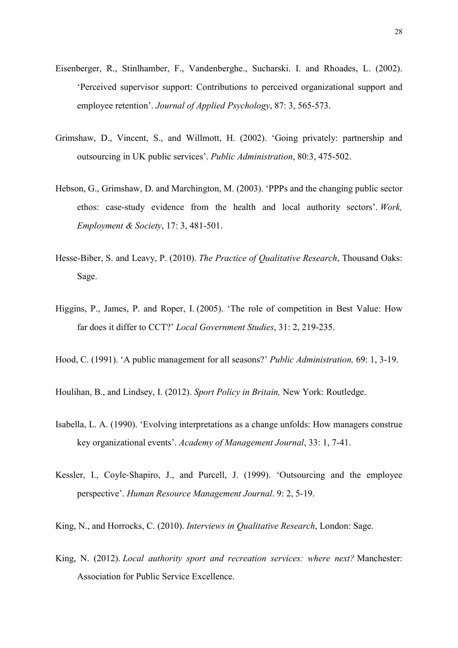- Eisenberger, R., Stinlhamber, F., Vandenberghe., Sucharski. I. and Rhoades, L. (2002). 'Perceived supervisor support: Contributions to perceived organizational support and employee retention'. Journal of Applied Psychology, 87: 3, 565-573.
- Grimshaw, D., Vincent, S., and Willmott, H. (2002). 'Going privately: partnership and outsourcing in UK public services'. Public Administration, 80:3, 475-502.
- Hebson, G., Grimshaw, D. and Marchington, M. (2003). 'PPPs and the changing public sector ethos: case-study evidence from the health and local authority sectors'. Work, Employment & Society, 17: 3, 481-501.
- Hesse-Biber, S. and Leavy, P. (2010). The Practice of Qualitative Research, Thousand Oaks: Sage.
- Higgins, P., James, P. and Roper, I. (2005). 'The role of competition in Best Value: How far does it differ to CCT?' Local Government Studies, 31: 2, 219-235.
- Hood, C. (1991). 'A public management for all seasons?' Public Administration, 69: 1, 3-19.
- Houlihan, B., and Lindsey, I. (2012). Sport Policy in Britain, New York: Routledge.
- Isabella, L. A. (1990). 'Evolving interpretations as a change unfolds: How managers construe key organizational events'. Academy of Management Journal, 33: 1, 7-41.
- Kessler, I., Coyle‐Shapiro, J., and Purcell, J. (1999). 'Outsourcing and the employee perspective'. Human Resource Management Journal. 9: 2, 5-19.
- King, N., and Horrocks, C. (2010). Interviews in Qualitative Research, London: Sage.
- King, N. (2012). Local authority sport and recreation services: where next? Manchester: Association for Public Service Excellence.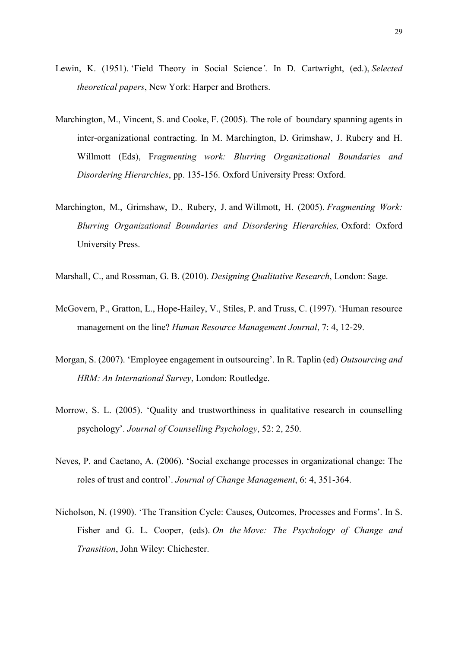- Lewin, K. (1951). 'Field Theory in Social Science'. In D. Cartwright, (ed.), Selected theoretical papers, New York: Harper and Brothers.
- Marchington, M., Vincent, S. and Cooke, F. (2005). The role of boundary spanning agents in inter-organizational contracting. In M. Marchington, D. Grimshaw, J. Rubery and H. Willmott (Eds), Fragmenting work: Blurring Organizational Boundaries and Disordering Hierarchies, pp. 135-156. Oxford University Press: Oxford.
- Marchington, M., Grimshaw, D., Rubery, J. and Willmott, H. (2005). *Fragmenting Work:* Blurring Organizational Boundaries and Disordering Hierarchies, Oxford: Oxford University Press.
- Marshall, C., and Rossman, G. B. (2010). Designing Qualitative Research, London: Sage.
- McGovern, P., Gratton, L., Hope-Hailey, V., Stiles, P. and Truss, C. (1997). 'Human resource management on the line? Human Resource Management Journal, 7: 4, 12-29.
- Morgan, S. (2007). 'Employee engagement in outsourcing'. In R. Taplin (ed) Outsourcing and HRM: An International Survey, London: Routledge.
- Morrow, S. L. (2005). 'Quality and trustworthiness in qualitative research in counselling psychology'. Journal of Counselling Psychology, 52: 2, 250.
- Neves, P. and Caetano, A. (2006). 'Social exchange processes in organizational change: The roles of trust and control'. Journal of Change Management, 6: 4, 351-364.
- Nicholson, N. (1990). 'The Transition Cycle: Causes, Outcomes, Processes and Forms'. In S. Fisher and G. L. Cooper, (eds). On the Move: The Psychology of Change and Transition, John Wiley: Chichester.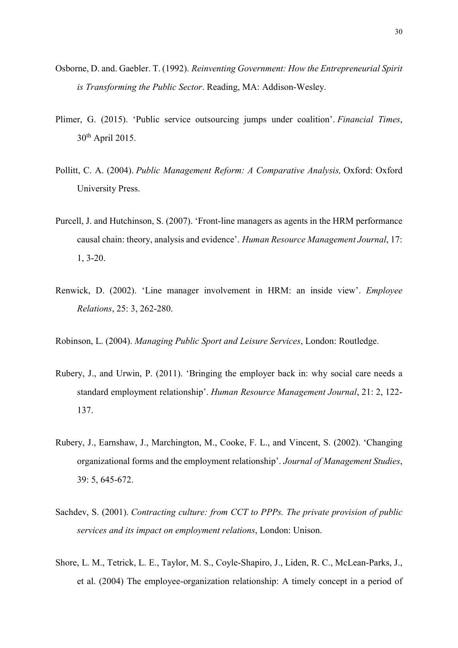- Osborne, D. and. Gaebler. T. (1992). Reinventing Government: How the Entrepreneurial Spirit is Transforming the Public Sector. Reading, MA: Addison-Wesley.
- Plimer, G. (2015). 'Public service outsourcing jumps under coalition'. Financial Times,  $30<sup>th</sup>$  April 2015.
- Pollitt, C. A. (2004). Public Management Reform: A Comparative Analysis, Oxford: Oxford University Press.
- Purcell, J. and Hutchinson, S. (2007). 'Front-line managers as agents in the HRM performance causal chain: theory, analysis and evidence'. Human Resource Management Journal, 17: 1, 3-20.
- Renwick, D. (2002). 'Line manager involvement in HRM: an inside view'. Employee Relations, 25: 3, 262-280.
- Robinson, L. (2004). Managing Public Sport and Leisure Services, London: Routledge.
- Rubery, J., and Urwin, P. (2011). 'Bringing the employer back in: why social care needs a standard employment relationship'. Human Resource Management Journal, 21: 2, 122- 137.
- Rubery, J., Earnshaw, J., Marchington, M., Cooke, F. L., and Vincent, S. (2002). 'Changing organizational forms and the employment relationship'. Journal of Management Studies, 39: 5, 645-672.
- Sachdev, S. (2001). Contracting culture: from CCT to PPPs. The private provision of public services and its impact on employment relations, London: Unison.
- Shore, L. M., Tetrick, L. E., Taylor, M. S., Coyle-Shapiro, J., Liden, R. C., McLean-Parks, J., et al. (2004) The employee-organization relationship: A timely concept in a period of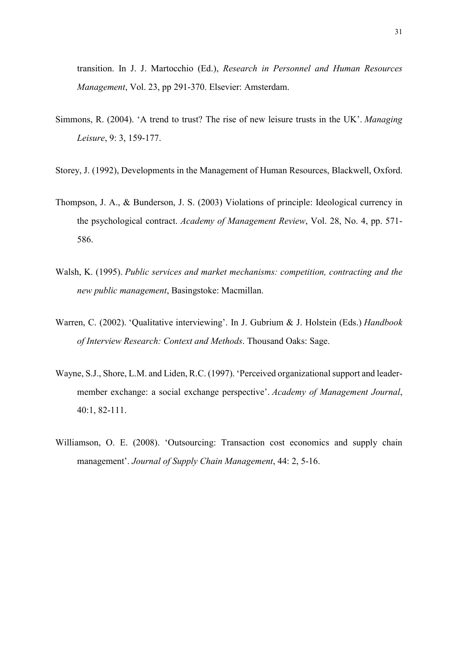transition. In J. J. Martocchio (Ed.), Research in Personnel and Human Resources Management, Vol. 23, pp 291-370. Elsevier: Amsterdam.

- Simmons, R. (2004). 'A trend to trust? The rise of new leisure trusts in the UK'. Managing Leisure, 9: 3, 159-177.
- Storey, J. (1992), Developments in the Management of Human Resources, Blackwell, Oxford.
- Thompson, J. A., & Bunderson, J. S. (2003) Violations of principle: Ideological currency in the psychological contract. Academy of Management Review, Vol. 28, No. 4, pp. 571- 586.
- Walsh, K. (1995). Public services and market mechanisms: competition, contracting and the new public management, Basingstoke: Macmillan.
- Warren, C. (2002). 'Qualitative interviewing'. In J. Gubrium & J. Holstein (Eds.) Handbook of Interview Research: Context and Methods. Thousand Oaks: Sage.
- Wayne, S.J., Shore, L.M. and Liden, R.C. (1997). 'Perceived organizational support and leadermember exchange: a social exchange perspective'. Academy of Management Journal, 40:1, 82-111.
- Williamson, O. E. (2008). 'Outsourcing: Transaction cost economics and supply chain management'. Journal of Supply Chain Management, 44: 2, 5-16.